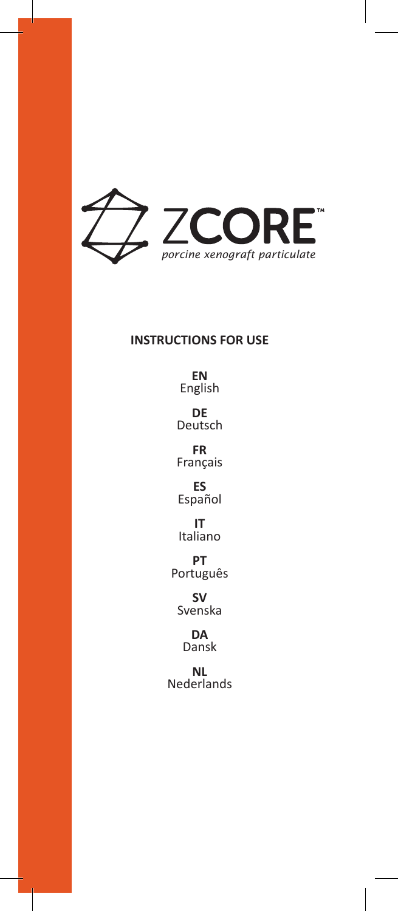

# **INSTRUCTIONS FOR USE**

**EN** English

**DE** Deutsch

**FR** Français

**ES** Español

**IT** Italiano

**PT** Português

**SV** Svenska

> **DA** Dansk

**NL** Nederlands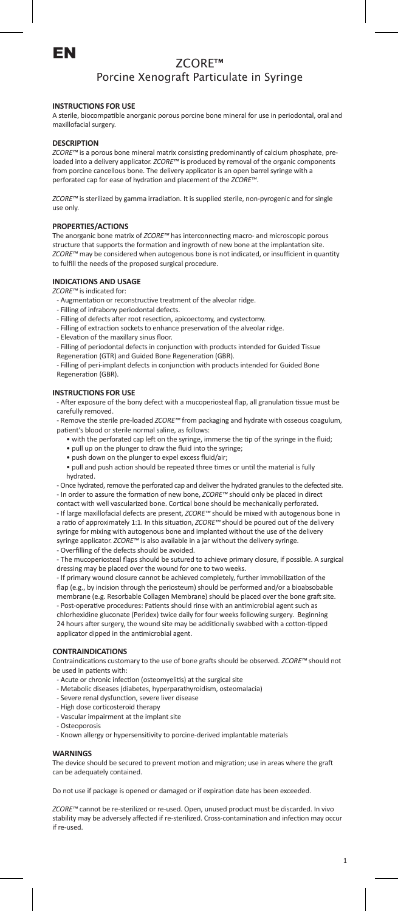

# ZCORE™ Porcine Xenograft Particulate in Syringe

# **INSTRUCTIONS FOR USE**

A sterile, biocompatible anorganic porous porcine bone mineral for use in periodontal, oral and maxillofacial surgery.

### **DESCRIPTION**

*ZCORE™* is a porous bone mineral matrix consisting predominantly of calcium phosphate, preloaded into a delivery applicator. *ZCORE™* is produced by removal of the organic components from porcine cancellous bone. The delivery applicator is an open barrel syringe with a perforated cap for ease of hydration and placement of the *ZCORE™*.

*ZCORE™* is sterilized by gamma irradiation. It is supplied sterile, non-pyrogenic and for single use only.

### **PROPERTIES/ACTIONS**

The anorganic bone matrix of *ZCORE™* has interconnecting macro- and microscopic porous structure that supports the formation and ingrowth of new bone at the implantation site. *ZCORE™* may be considered when autogenous bone is not indicated, or insufficient in quantity to fulfill the needs of the proposed surgical procedure.

### **INDICATIONS AND USAGE**

*ZCORE™* is indicated for:

- Augmentation or reconstructive treatment of the alveolar ridge.
- Filling of infrabony periodontal defects.
- Filling of defects after root resection, apicoectomy, and cystectomy.
- Filling of extraction sockets to enhance preservation of the alveolar ridge.
- Elevation of the maxillary sinus floor.

- Filling of periodontal defects in conjunction with products intended for Guided Tissue Regeneration (GTR) and Guided Bone Regeneration (GBR).

- Filling of peri-implant defects in conjunction with products intended for Guided Bone Regeneration (GBR).

# **INSTRUCTIONS FOR USE**

- After exposure of the bony defect with a mucoperiosteal flap, all granulation tissue must be carefully removed.

- Remove the sterile pre-loaded *ZCORE™* from packaging and hydrate with osseous coagulum, patient's blood or sterile normal saline, as follows:

- with the perforated cap left on the syringe, immerse the tip of the syringe in the fluid;
- pull up on the plunger to draw the fluid into the syringe;
- push down on the plunger to expel excess fluid/air;
- pull and push action should be repeated three times or until the material is fully hydrated.

- Once hydrated, remove the perforated cap and deliver the hydrated granules to the defected site. - In order to assure the formation of new bone, *ZCORE™* should only be placed in direct contact with well vascularized bone. Cortical bone should be mechanically perforated. - If large maxillofacial defects are present, *ZCORE™* should be mixed with autogenous bone in a ratio of approximately 1:1. In this situation, *ZCORE™* should be poured out of the delivery syringe for mixing with autogenous bone and implanted without the use of the delivery syringe applicator. *ZCORE™* is also available in a jar without the delivery syringe.

- Overfilling of the defects should be avoided.

- The mucoperiosteal flaps should be sutured to achieve primary closure, if possible. A surgical dressing may be placed over the wound for one to two weeks.

- If primary wound closure cannot be achieved completely, further immobilization of the flap (e.g., by incision through the periosteum) should be performed and/or a bioabsobable membrane (e.g. Resorbable Collagen Membrane) should be placed over the bone graft site. - Post-operative procedures: Patients should rinse with an antimicrobial agent such as chlorhexidine gluconate (Peridex) twice daily for four weeks following surgery. Beginning

24 hours after surgery, the wound site may be additionally swabbed with a cotton-tipped applicator dipped in the antimicrobial agent.

### **CONTRAINDICATIONS**

Contraindications customary to the use of bone grafts should be observed. *ZCORE™* should not be used in patients with:

- Acute or chronic infection (osteomyelitis) at the surgical site
- Metabolic diseases (diabetes, hyperparathyroidism, osteomalacia)
- Severe renal dysfunction, severe liver disease
- High dose corticosteroid therapy
- Vascular impairment at the implant site
- Osteoporosis
- Known allergy or hypersensitivity to porcine-derived implantable materials

#### **WARNINGS**

The device should be secured to prevent motion and migration; use in areas where the graft can be adequately contained.

Do not use if package is opened or damaged or if expiration date has been exceeded.

*ZCORE™* cannot be re-sterilized or re-used. Open, unused product must be discarded. In vivo stability may be adversely affected if re-sterilized. Cross-contamination and infection may occur if re-used.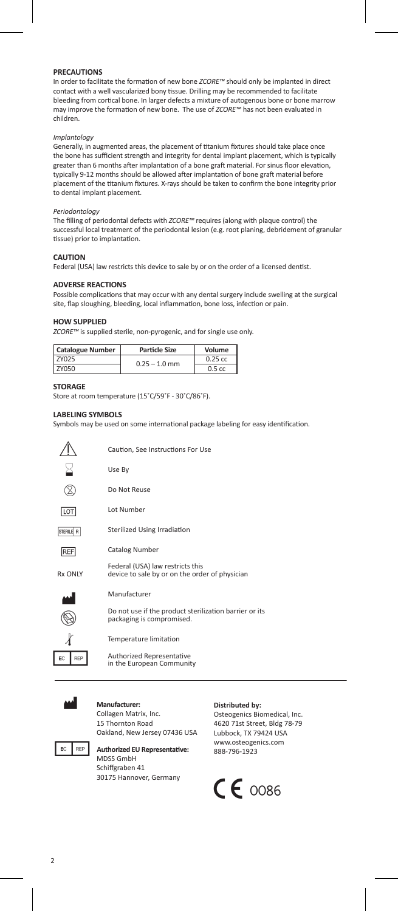### **PRECAUTIONS**

In order to facilitate the formation of new bone *ZCORE™* should only be implanted in direct contact with a well vascularized bony tissue. Drilling may be recommended to facilitate bleeding from cortical bone. In larger defects a mixture of autogenous bone or bone marrow may improve the formation of new bone. The use of *ZCORE™* has not been evaluated in children.

# *Implantology*

Generally, in augmented areas, the placement of titanium fixtures should take place once the bone has sufficient strength and integrity for dental implant placement, which is typically greater than 6 months after implantation of a bone graft material. For sinus floor elevation, typically 9-12 months should be allowed after implantation of bone graft material before placement of the titanium fixtures. X-rays should be taken to confirm the bone integrity prior to dental implant placement.

# *Periodontology*

The filling of periodontal defects with *ZCORE™* requires (along with plaque control) the successful local treatment of the periodontal lesion (e.g. root planing, debridement of granular tissue) prior to implantation.

### **CAUTION**

Federal (USA) law restricts this device to sale by or on the order of a licensed dentist.

# **ADVERSE REACTIONS**

Possible complications that may occur with any dental surgery include swelling at the surgical site, flap sloughing, bleeding, local inflammation, bone loss, infection or pain.

### **HOW SUPPLIED**

*ZCORE™* is supplied sterile, non-pyrogenic, and for single use only.

| <b>Catalogue Number</b> | Particle Size   | Volume    |
|-------------------------|-----------------|-----------|
| <b>7Y025</b>            | $0.25 - 1.0$ mm | $0.25$ cc |
| 7Y050                   |                 | 0.5cc     |

# **STORAGE**

Store at room temperature (15˚C/59˚F - 30˚C/86˚F).

### **LABELING SYMBOLS**

Symbols may be used on some international package labeling for easy identification.

|           | Caution. See Instructions For Use                                                   |
|-----------|-------------------------------------------------------------------------------------|
|           | Use By                                                                              |
|           | Do Not Reuse                                                                        |
| LOT       | Lot Number                                                                          |
| STERILE R | Sterilized Using Irradiation                                                        |
| REF       | <b>Catalog Number</b>                                                               |
| Rx ONIY   | Federal (USA) law restricts this<br>device to sale by or on the order of physician  |
|           | Manufacturer                                                                        |
|           | Do not use if the product sterilization barrier or its<br>packaging is compromised. |
|           |                                                                                     |



Authorized Representative in the European Community



 $EC$   $REP$  $\sqrt{2}$ 

> M **Manufacturer:** Collagen Matrix, Inc. 15 Thornton Road Oakland, New Jersey 07436 USA



**FC**  $\left\| \text{REP} \right\|$  Authorized EU Representative: MDSS GmbH Schiffgraben 41 30175 Hannover, Germany

### **Distributed by:**

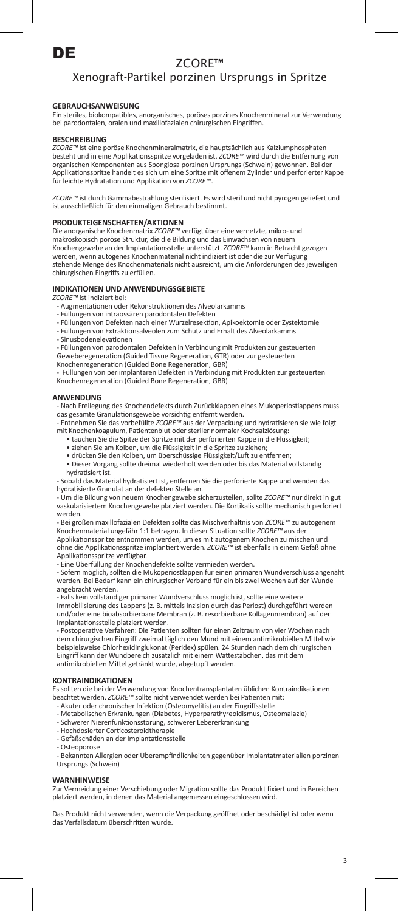

# Xenograft-Partikel porzinen Ursprungs in Spritze

# **GEBRAUCHSANWEISUNG**

Ein steriles, biokompatibles, anorganisches, poröses porzines Knochenmineral zur Verwendung bei parodontalen, oralen und maxillofazialen chirurgischen Eingriffen.

### **BESCHREIBUNG**

*ZCORE™* ist eine poröse Knochenmineralmatrix, die hauptsächlich aus Kalziumphosphaten<br>besteht und in eine Applikationsspritze vorgeladen ist. *ZCORE™* wird durch die Entfernung von organischen Komponenten aus Spongiosa porzinen Ursprungs (Schwein) gewonnen. Bei der Applikationsspritze handelt es sich um eine Spritze mit offenem Zylinder und perforierter Kappe für leichte Hydratation und Applikation von *ZCORE™*.

*ZCORE™* ist durch Gammabestrahlung sterilisiert. Es wird steril und nicht pyrogen geliefert und ist ausschließlich für den einmaligen Gebrauch bestimmt.

## **PRODUKTEIGENSCHAFTEN/AKTIONEN**

Die anorganische Knochenmatrix *ZCORE™* verfügt über eine vernetzte, mikro- und<br>makroskopisch poröse Struktur, die die Bildung und das Einwachsen von neuem Knochengewebe an der Implantationsstelle unterstützt. *ZCORE™* kann in Betracht gezogen werden, wenn autogenes Knochenmaterial nicht indiziert ist oder die zur Verfügung stehende Menge des Knochenmaterials nicht ausreicht, um die Anforderungen des jeweiligen chirurgischen Eingriffs zu erfüllen.

### **INDIKATIONEN UND ANWENDUNGSGEBIETE**

*ZCORE™* ist indiziert bei:

- Augmentationen oder Rekonstruktionen des Alveolarkamms
- Füllungen von intraossären parodontalen Defekten
- Füllungen von Defekten nach einer Wurzelresektion, Apikoektomie oder Zystektomie - Füllungen von Extraktionsalveolen zum Schutz und Erhalt des Alveolarkamms
- Sinusbodenelevationen

- Füllungen von parodontalen Defekten in Verbindung mit Produkten zur gesteuerten

Geweberegeneration (Guided Tissue Regeneration, GTR) oder zur gesteuerten Knochenregeneration (Guided Bone Regeneration, GBR)

- Füllungen von periimplantären Defekten in Verbindung mit Produkten zur gesteuerten Knochenregeneration (Guided Bone Regeneration, GBR)

### **ANWENDUNG**

- Nach Freilegung des Knochendefekts durch Zurückklappen eines Mukoperiostlappens muss das gesamte Granulationsgewebe vorsichtig entfernt werden.

- Entnehmen Sie das vorbefüllte *ZCORE™* aus der Verpackung und hydratisieren sie wie folgt mit Knochenkoagulum, Patientenblut oder steriler normaler Kochsalzlösung:

- tauchen Sie die Spitze der Spritze mit der perforierten Kappe in die Flüssigkeit; ziehen Sie am Kolben, um die Flüssigkeit in die Spritze zu ziehen;
- 
- drücken Sie den Kolben, um überschüssige Flüssigkeit/Luft zu entfernen;
- Dieser Vorgang sollte dreimal wiederholt werden oder bis das Material vollständig hydratisiert ist.

- Sobald das Material hydratisiert ist, entfernen Sie die perforierte Kappe und wenden das hydratisierte Granulat an der defekten Stelle an.

- Um die Bildung von neuem Knochengewebe sicherzustellen, sollte *ZCORE™* nur direkt in gut vaskularisiertem Knochengewebe platziert werden. Die Kortikalis sollte mechanisch perfori werden.

- Bei großen maxillofazialen Defekten sollte das Mischverhältnis von *ZCORE™* zu autogenem Knochenmaterial ungefähr 1:1 betragen. In dieser Situation sollte *ZCORE™* aus der Applikationsspritze entnommen werden, um es mit autogenem Knochen zu mischen und<br>ohne die Applikationsspritze implantiert werden. *ZCORE™* ist ebenfalls in einem Gefäß ohne Applikationsspritze verfügbar.

- Eine Überfüllung der Knochendefekte sollte vermieden werden.

- Sofern möglich, sollten die Mukoperiostlappen für einen primären Wundverschluss angenäht werden. Bei Bedarf kann ein chirurgischer Verband für ein bis zwei Wochen auf der Wunde angebracht werden.

- Falls kein vollständiger primärer Wundverschluss möglich ist, sollte eine weiter Immobilisierung des Lappens (z. B. mittels Inzision durch das Periost) durchgeführt werden und/oder eine bioabsorbierbare Membran (z. B. resorbierbare Kollagenmembran) auf der Implantationsstelle platziert werden.

- Postoperative Verfahren: Die Patienten sollten für einen Zeitraum von vier Wochen nach dem chirurgischen Eingriff zweimal täglich den Mund mit einem antimikrobiellen Mittel wie beispielsweise Chlorhexidinglukonat (Peridex) spülen. 24 Stunden nach dem chirurgischen Eingriff kann der Wundbereich zusätzlich mit einem Wattestäbchen, das mit dem antimikrobiellen Mittel getränkt wurde, abgetupft werden.

#### **KONTRAINDIKATIONEN**

Es sollten die bei der Verwendung von Knochentransplantaten üblichen Kontraindikationen beachtet werden. *ZCORE™* sollte nicht verwendet werden bei Patienten mit:

- Akuter oder chronischer Infektion (Osteomyelitis) an der Eingriffsstelle
- Metabolischen Erkrankungen (Diabetes, Hyperparathyreoidismus, Osteomalazie)
- Schwerer Nierenfunktionsstörung, schwerer Lebererkrankung
- Hochdosierter Corticosteroidtherapie - Gefäßschäden an der Implantationsstelle
- 
- Osteoporose

- Bekannten Allergien oder Überempfindlichkeiten gegenüber Implantatmaterialien porzinen Ursprungs (Schwein)

### **WARNHINWEISE**

ur Vermeidung einer Verschiebung oder Migration sollte das Produkt fixiert und in Bereichen platziert werden, in denen das Material angemessen eingeschlossen wird.

Das Produkt nicht verwenden, wenn die Verpackung geöffnet oder beschädigt ist oder wenn das Verfallsdatum überschritten wurde.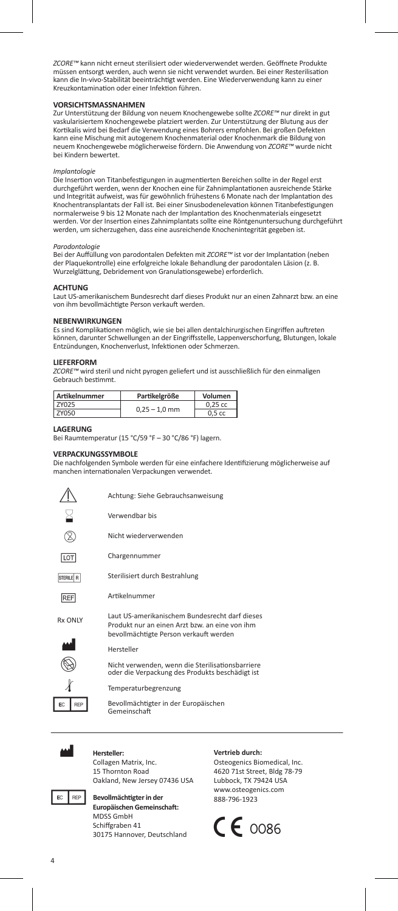*ZCORE™* kann nicht erneut sterilisiert oder wiederverwendet werden. Geöffnete Produkte müssen entsorgt werden, auch wenn sie nicht verwendet wurden. Bei einer Resterilisation kann die In-vivo-Stabilität beeinträchtigt werden. Eine Wiederverwendung kann zu einer Kreuzkontamination oder einer Infektion führen.

### **VORSICHTSMASSNAHMEN**

Zur Unterstützung der Bildung von neuem Knochengewebe sollte *ZCORE™* nur direkt in gut vaskularisiertem Knochengewebe platziert werden. Zur Unterstützung der Blutung aus der Kortikalis wird bei Bedarf die Verwendung eines Bohrers empfohlen. Bei großen Defekten kann eine Mischung mit autogenem Knochenmaterial oder Knochenmark die Bildung von neuem Knochengewebe möglicherweise fördern. Die Anwendung von *ZCORE™* wurde nicht bei Kindern bewertet.

# *Implantologie*

Die Insertion von Titanbefestigungen in augmentierten Bereichen sollte in der Regel erst<br>durchgeführt werden, wenn der Knochen eine für Zahnimplantationen ausreichende Stärke und Integrität aufweist, was für gewöhnlich frühestens 6 Monate nach der Implantation des Knochentransplantats der Fall ist. Bei einer Sinusbodenelevation können Titanbefestigungen normalerweise 9 bis 12 Monate nach der Implantation des Knochenmaterials eingesetzt werden. Vor der Insertion eines Zahnimplantats sollte eine Röntgenuntersuchung durchgeführt werden, um sicherzugehen, dass eine ausreichende Knochenintegrität gegeben ist.

# *Parodontologie*

Bei der Auffüllung von parodontalen Defekten mit *ZCORE™* ist vor der Implantation (neben der Plaquekontrolle) eine erfolgreiche lokale Behandlung der parodontalen Läsion (z. B. Wurzelglättung, Debridement von Granulationsgewebe) erforderlich.

### **ACHTUNG**

Laut US-amerikanischem Bundesrecht darf dieses Produkt nur an einen Zahnarzt bzw. an eine von ihm bevollmächtigte Person verkauft werden.

### **NEBENWIRKUNGEN**

Es sind Komplikationen möglich, wie sie bei allen dentalchirurgischen Eingriffen auftreten können, darunter Schwellungen an der Eingriffsstelle, Lappenverschorfung, Blutungen, lokale Entzündungen, Knochenverlust, Infektionen oder Schmerzen.

### **LIEFERFORM**

*ZCORE™* wird steril und nicht pyrogen geliefert und ist ausschließlich für den einmaligen Gebrauch bestimmt.

| Artikelnummer | Partikelgröße   | Volumen           |
|---------------|-----------------|-------------------|
| <b>7Y025</b>  | $0.25 - 1.0$ mm | $0.25$ cc         |
| <b>7Y050</b>  |                 | 0.5 <sub>cc</sub> |

### **LAGERUNG**

Bei Raumtemperatur (15 °C/59 °F – 30 °C/86 °F) lagern.

# **VERPACKUNGSSYMBOLE**

Die nachfolgenden Symbole werden für eine einfachere Identifizierung möglicherweise auf manchen internationalen Verpackungen verwendet.

|                | Achtung: Siehe Gebrauchsanweisung                                                                                                          |
|----------------|--------------------------------------------------------------------------------------------------------------------------------------------|
|                | Verwendhar his                                                                                                                             |
|                | Nicht wiederverwenden                                                                                                                      |
| LOT            | Chargennummer                                                                                                                              |
| STERILE R      | Sterilisiert durch Bestrahlung                                                                                                             |
| REF            | Artikelnummer                                                                                                                              |
| <b>Rx ONIY</b> | Laut US-amerikanischem Bundesrecht darf dieses<br>Produkt nur an einen Arzt hzw. an eine von ihm<br>bevollmächtigte Person verkauft werden |
|                | Hersteller                                                                                                                                 |
|                | Nicht verwenden, wenn die Sterilisationsbarriere<br>oder die Verpackung des Produkts beschädigt ist                                        |
|                | Temperaturbegrenzung                                                                                                                       |
| EC<br>RFF      | Bevollmächtigter in der Europäischen<br>Gemeinschaft                                                                                       |



# M **Hersteller:**

Collagen Matrix, Inc. 15 Thornton Road Oakland, New Jersey 07436 USA



**Bevollmächtigter in der Europäischen Gemeinschaft:** MDSS GmbH Schiffgraben 41 30175 Hannover, Deutschland

### **Vertrieb durch:**

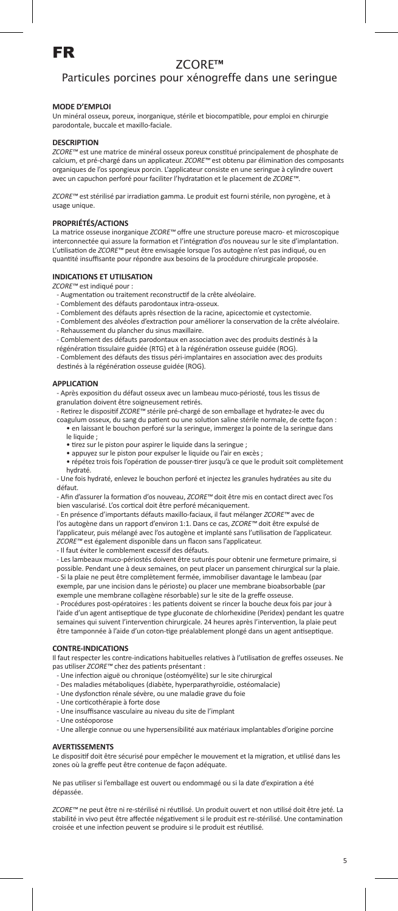

# Particules porcines pour xénogreffe dans une seringue

# **MODE D'EMPLOI**

Un minéral osseux, poreux, inorganique, stérile et biocompatible, pour emploi en chirurgie parodontale, buccale et maxillo-faciale.

### **DESCRIPTION**

*ZCORE™* est une matrice de minéral osseux poreux constitué principalement de phosphate de calcium, et pré-chargé dans un applicateur. *ZCORE™* est obtenu par élimination des composants organiques de l'os spongieux porcin. L'applicateur consiste en une seringue à cylindre ouvert avec un capuchon perforé pour faciliter l'hydratation et le placement de *ZCORE™*.

*ZCORE™* est stérilisé par irradiation gamma. Le produit est fourni stérile, non pyrogène, et à usage unique.

## **PROPRIÉTÉS/ACTIONS**

La matrice osseuse inorganique *ZCORE™* offre une structure poreuse macro- et microscopique interconnectée qui assure la formation et l'intégration d'os nouveau sur le site d'implantation. L'utilisation de *ZCORE™* peut être envisagée lorsque l'os autogène n'est pas indiqué, ou en quantité insuffisante pour répondre aux besoins de la procédure chirurgicale proposée.

## **INDICATIONS ET UTILISATION**

*ZCORE™* est indiqué pour :

- Augmentation ou traitement reconstructif de la crête alvéolaire.
- Comblement des défauts parodontaux intra-osseux.
- Comblement des défauts après résection de la racine, apicectomie et cystectomie.
- Comblement des alvéoles d'extraction pour améliorer la conservation de la crête alvéolaire. - Rehaussement du plancher du sinus maxillaire.
- Comblement des défauts parodontaux en association avec des produits destinés à la
- régénération tissulaire guidée (RTG) et à la régénération osseuse guidée (ROG).

- Comblement des défauts des tissus péri-implantaires en association avec des produits destinés à la régénération osseuse guidée (ROG).

#### **APPLICATION**

- Après exposition du défaut osseux avec un lambeau muco-périosté, tous les tissus de

granulation doivent être soigneusement retirés. - Retirez le dispositif *ZCORE™* stérile pré-chargé de son emballage et hydratez-le avec du

coagulum osseux, du sang du patient ou une solution saline stérile normale, de cette façon :

- en laissant le bouchon perforé sur la seringue, immergez la pointe de la seringue dans le liquide ;
- tirez sur le piston pour aspirer le liquide dans la seringue ;
- appuyez sur le piston pour expulser le liquide ou l'air en excès ; • répétez trois fois l'opération de pousser-tirer jusqu'à ce que le produit soit complètement hydraté.

- Une fois hydraté, enlevez le bouchon perforé et injectez les granules hydratées au site du défaut.

- Afin d'assurer la formation d'os nouveau, *ZCORE™* doit être mis en contact direct avec l'os bien vascularisé. L'os cortical doit être perforé mécaniquement.

- En présence d'importants défauts maxillo-faciaux, il faut mélanger *ZCORE™* avec de l'os autogène dans un rapport d'environ 1:1. Dans ce cas, *ZCORE™* doit être expulsé de l'applicateur, puis mélangé avec l'os autogène et implanté sans l'utilisation de l'applicateur. *ZCORE™* est également disponible dans un flacon sans l'applicateur. - Il faut éviter le comblement excessif des défauts.

- Les lambeaux muco-périostés doivent être suturés pour obtenir une fermeture primaire, si possible. Pendant une à deux semaines, on peut placer un pansement chirurgical sur la plaie. - Si la plaie ne peut être complètement fermée, immobiliser davantage le lambeau (par exemple, par une incision dans le périoste) ou placer une membrane bioabsorbable (par exemple une membrane collagène résorbable) sur le site de la greffe osseuse.

- Procédures post-opératoires : les patients doivent se rincer la bouche deux fois par jour à l'aide d'un agent antiseptique de type gluconate de chlorhexidine (Peridex) pendant les quatre semaines qui suivent l'intervention chirurgicale. 24 heures après l'intervention, la plaie peut être tamponnée à l'aide d'un coton-tige préalablement plongé dans un agent antiseptique.

## **CONTRE-INDICATIONS**

Il faut respecter les contre-indications habituelles relatives à l'utilisation de greffes osseuses. Ne pas utiliser *ZCORE™* chez des patients présentant :

- Une infection aiguë ou chronique (ostéomyélite) sur le site chirurgical
- Des maladies métaboliques (diabète, hyperparathyroïdie, ostéomalacie)
- Une dysfonction rénale sévère, ou une maladie grave du foie
- Une corticothérapie à forte dose
- Une insuffisance vasculaire au niveau du site de l'implant - Une ostéoporose
- Une allergie connue ou une hypersensibilité aux matériaux implantables d'origine porcine

### **AVERTISSEMENTS**

Le dispositif doit être sécurisé pour empêcher le mouvement et la migration, et utilisé dans les zones où la greffe peut être contenue de façon adéquate.

Ne pas utiliser si l'emballage est ouvert ou endommagé ou si la date d'expiration a été dépassée.

*ZCORE™* ne peut être ni re-stérilisé ni réutilisé. Un produit ouvert et non utilisé doit être jeté. La stabilité in vivo peut être affectée négativement si le produit est re-stérilisé. Une contamination croisée et une infection peuvent se produire si le produit est réutilisé.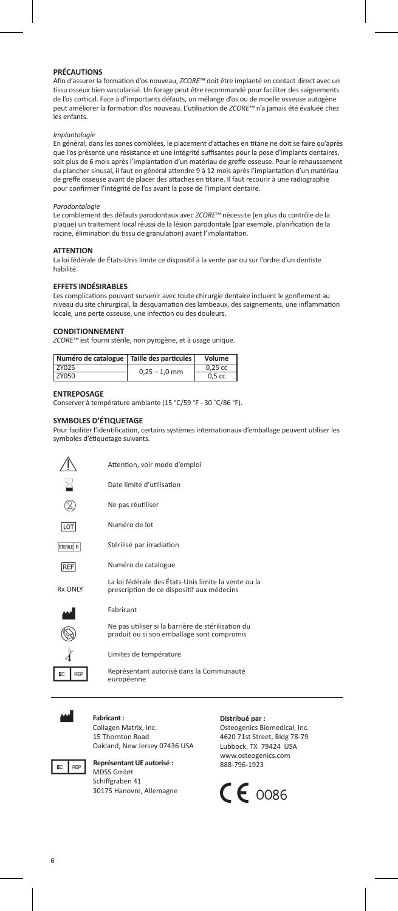### **PRÉCAUTIONS**

Afin d'assurer la formation d'os nouveau, *ZCORE™* doit être implanté en contact direct avec un tissu osseux bien vascularisé. Un forage peut être recommandé pour faciliter des saignements de l'os cortical. Face à d'importants défauts, un mélange d'os ou de moelle osseuse autogène peut améliorer la formation d'os nouveau. L'utilisation de *ZCORE™* n'a jamais été évaluée chez les enfants.

#### *Implantologie*

En général, dans les zones comblées, le placement d'attaches en titane ne doit se faire qu'après que l'os présente une résistance et une intégrité suffisantes pour la pose d'implants dentaires, soit plus de 6 mois après l'implantation d'un matériau de greffe osseuse. Pour le rehaussement du plancher sinusal, il faut en général attendre 9 à 12 mois après l'implantation d'un matériau de greffe osseuse avant de placer des attaches en titane. Il faut recourir à une radiographie pour confirmer l'intégrité de l'os avant la pose de l'implant dentaire.

### *Parodontologie*

Le comblement des défauts parodontaux avec *ZCORE™* nécessite (en plus du contrôle de la plaque) un traitement local réussi de la lésion parodontale (par exemple, planification de la racine, élimination du tissu de granulation) avant l'implantation.

#### **ATTENTION**

La loi fédérale de États-Unis limite ce dispositif à la vente par ou sur l'ordre d'un dentiste habilité.

# **EFFETS INDÉSIRABLES**

Les complications pouvant survenir avec toute chirurgie dentaire incluent le gonflement au niveau du site chirurgical, la desquamation des lambeaux, des saignements, une inflammation locale, une perte osseuse, une infection ou des douleurs.

### **CONDITIONNEMENT**

*ZCORE™* est fourni stérile, non pyrogène, et à usage unique.

|              |                 | Numéro de catalogue   Taille des particules |
|--------------|-----------------|---------------------------------------------|
| <b>7Y025</b> | $0.25 - 1.0$ mm | $0.25$ cc                                   |
| ZY050        |                 | 0.5 <sub>cc</sub>                           |

#### **ENTREPOSAGE**

Conserver à température ambiante (15 °C/59 °F - 30 ˚C/86 °F).

### **SYMBOLES D'ÉTIQUETAGE**

Pour faciliter l'identification, certains systèmes internationaux d'emballage peuvent utiliser les symboles d'étiquetage suivants.

|                  | Attention, voir mode d'emploi                                                                      |
|------------------|----------------------------------------------------------------------------------------------------|
|                  | Date limite d'utilisation                                                                          |
|                  | Ne pas réutiliser                                                                                  |
| LOT              | Numéro de lot                                                                                      |
| STERILE R        | Stérilisé par irradiation                                                                          |
| <b>REF</b>       | Numéro de catalogue                                                                                |
| <b>Rx ONIY</b>   | La loi fédérale des États-Unis limite la vente ou la<br>prescription de ce dispositif aux médecins |
|                  | Fabricant                                                                                          |
|                  | Ne pas utiliser si la barrière de stérilisation du<br>produit ou si son emballage sont compromis   |
|                  | Limites de température                                                                             |
| EC<br><b>REP</b> | Représentant autorisé dans la Communauté<br>européenne                                             |
|                  |                                                                                                    |



### **Fabricant :**

Collagen Matrix, Inc. 15 Thornton Road Oakland, New Jersey 07436 USA



**Représentant UE autorisé :** MDSS GmbH Schiffgraben 41 30175 Hanovre, Allemagne

### **Distribué par :**

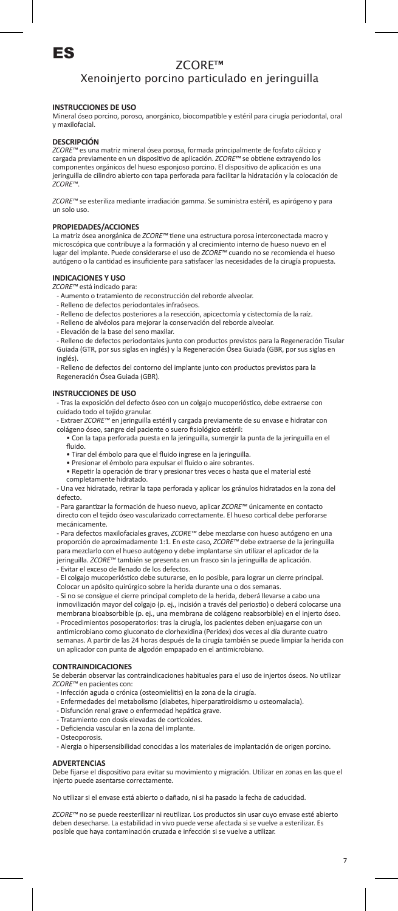

# Xenoinjerto porcino particulado en jeringuilla

# **INSTRUCCIONES DE USO**

Mineral óseo porcino, poroso, anorgánico, biocompatible y estéril para cirugía periodontal, oral y maxilofacial.

### **DESCRIPCIÓN**

*ZCORE™* es una matriz mineral ósea porosa, formada principalmente de fosfato cálcico y cargada previamente en un dispositivo de aplicación. *ZCORE™* se obtiene extrayendo los componentes orgánicos del hueso esponjoso porcino. El dispositivo de aplicación es una jeringuilla de cilindro abierto con tapa perforada para facilitar la hidratación y la colocación de *ZCORE™*.

*ZCORE™* se esteriliza mediante irradiación gamma. Se suministra estéril, es apirógeno y para un solo uso.

### **PROPIEDADES/ACCIONES**

La matriz ósea anorgánica de *ZCORE™* tiene una estructura porosa interconectada macro y microscópica que contribuye a la formación y al crecimiento interno de hueso nuevo en el lugar del implante. Puede considerarse el uso de *ZCORE™* cuando no se recomienda el hueso autógeno o la cantidad es insuficiente para satisfacer las necesidades de la cirugía propuesta.

### **INDICACIONES Y USO**

*ZCORE™* está indicado para:

- Aumento o tratamiento de reconstrucción del reborde alveolar.
- Relleno de defectos periodontales infraóseos.
- Relleno de defectos posteriores a la resección, apicectomía y cistectomía de la raíz.
- Relleno de alvéolos para mejorar la conservación del reborde alveolar.
- Elevación de la base del seno maxilar.

- Relleno de defectos periodontales junto con productos previstos para la Regeneración Tisular Guiada (GTR, por sus siglas en inglés) y la Regeneración Ósea Guiada (GBR, por sus siglas en inglés).

- Relleno de defectos del contorno del implante junto con productos previstos para la Regeneración Ósea Guiada (GBR).

### **INSTRUCCIONES DE USO**

- Tras la exposición del defecto óseo con un colgajo mucoperióstico, debe extraerse con cuidado todo el tejido granular.

- Extraer *ZCORE™* en jeringuilla estéril y cargada previamente de su envase e hidratar con colágeno óseo, sangre del paciente o suero fisiológico estéril:

- Con la tapa perforada puesta en la jeringuilla, sumergir la punta de la jeringuilla en el fluido.
- Tirar del émbolo para que el fluido ingrese en la jeringuilla. • Presionar el émbolo para expulsar el fluido o aire sobrantes.
- Repetir la operación de tirar y presionar tres veces o hasta que el material esté completamente hidratado.

- Una vez hidratado, retirar la tapa perforada y aplicar los gránulos hidratados en la zona del defecto.

- Para garantizar la formación de hueso nuevo, aplicar *ZCORE™* únicamente en contacto directo con el tejido óseo vascularizado correctamente. El hueso cortical debe perforarse mecánicamente.

- Para defectos maxilofaciales graves, *ZCORE™* debe mezclarse con hueso autógeno en una proporción de aproximadamente 1:1. En este caso, *ZCORE™* debe extraerse de la jeringuilla para mezclarlo con el hueso autógeno y debe implantarse sin utilizar el aplicador de la jeringuilla. *ZCORE™* también se presenta en un frasco sin la jeringuilla de aplicación. - Evitar el exceso de llenado de los defectos.

- El colgajo mucoperióstico debe suturarse, en lo posible, para lograr un cierre principal. Colocar un apósito quirúrgico sobre la herida durante una o dos semanas.

- Si no se consigue el cierre principal completo de la herida, deberá llevarse a cabo una inmovilización mayor del colgajo (p. ej., incisión a través del periostio) o deberá colocarse una membrana bioabsorbible (p. ej., una membrana de colágeno reabsorbible) en el injerto óseo. - Procedimientos posoperatorios: tras la cirugía, los pacientes deben enjuagarse con un

antimicrobiano como gluconato de clorhexidina (Peridex) dos veces al día durante cuatro semanas. A partir de las 24 horas después de la cirugía también se puede limpiar la herida con un aplicador con punta de algodón empapado en el antimicrobiano.

### **CONTRAINDICACIONES**

Se deberán observar las contraindicaciones habituales para el uso de injertos óseos. No utilizar *ZCORE™* en pacientes con:

- Infección aguda o crónica (osteomielitis) en la zona de la cirugía.
- Enfermedades del metabolismo (diabetes, hiperparatiroidismo u osteomalacia).
- Disfunción renal grave o enfermedad hepática grave.
- Tratamiento con dosis elevadas de corticoides.
- Deficiencia vascular en la zona del implante.
- Osteoporosis.
- Alergia o hipersensibilidad conocidas a los materiales de implantación de origen porcino.

### **ADVERTENCIAS**

Debe fijarse el dispositivo para evitar su movimiento y migración. Utilizar en zonas en las que el injerto puede asentarse correctamente.

No utilizar si el envase está abierto o dañado, ni si ha pasado la fecha de caducidad.

*ZCORE™* no se puede reesterilizar ni reutilizar. Los productos sin usar cuyo envase esté abierto deben desecharse. La estabilidad in vivo puede verse afectada si se vuelve a esterilizar. Es posible que haya contaminación cruzada e infección si se vuelve a utilizar.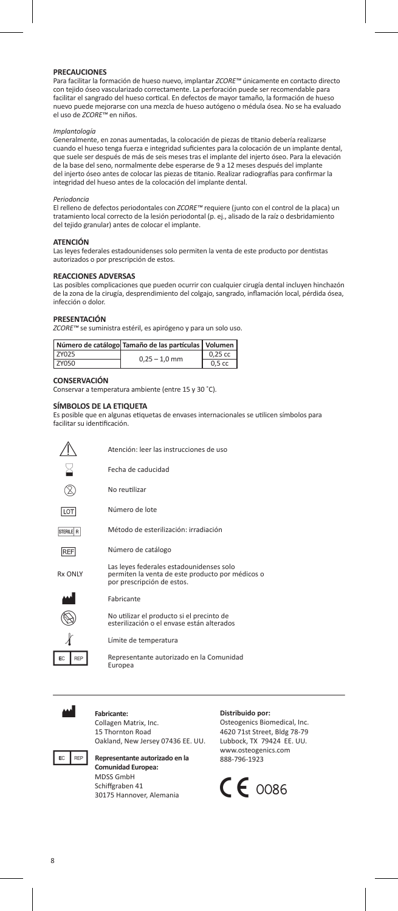### **PRECAUCIONES**

Para facilitar la formación de hueso nuevo, implantar *ZCORE™* únicamente en contacto directo con tejido óseo vascularizado correctamente. La perforación puede ser recomendable para facilitar el sangrado del hueso cortical. En defectos de mayor tamaño, la formación de hueso nuevo puede mejorarse con una mezcla de hueso autógeno o médula ósea. No se ha evaluado el uso de *ZCORE™* en niños.

# *Implantología*

Generalmente, en zonas aumentadas, la colocación de piezas de titanio debería realizarse cuando el hueso tenga fuerza e integridad suficientes para la colocación de un implante dental, que suele ser después de más de seis meses tras el implante del injerto óseo. Para la elevación de la base del seno, normalmente debe esperarse de 9 a 12 meses después del implante del injerto óseo antes de colocar las piezas de titanio. Realizar radiografías para confirmar la integridad del hueso antes de la colocación del implante dental.

### *Periodoncia*

El relleno de defectos periodontales con *ZCORE™* requiere (junto con el control de la placa) un<br>tratamiento local correcto de la lesión periodontal (p. ej., alisado de la raíz o desbridamiento del tejido granular) antes de colocar el implante.

### **ATENCIÓN**

Las leyes federales estadounidenses solo permiten la venta de este producto por dentistas autorizados o por prescripción de estos.

### **REACCIONES ADVERSAS**

Las posibles complicaciones que pueden ocurrir con cualquier cirugía dental incluyen hinchazón de la zona de la cirugía, desprendimiento del colgajo, sangrado, inflamación local, pérdida ósea, infección o dolor.

### **PRESENTACIÓN**

*ZCORE™* se suministra estéril, es apirógeno y para un solo uso.

|              | Número de catálogo Tamaño de las partículas   Volumen |                   |
|--------------|-------------------------------------------------------|-------------------|
| <b>7Y025</b> | $0.25 - 1.0$ mm                                       | $0.25$ cc         |
| ZY050        |                                                       | 0.5 <sub>cc</sub> |

# **CONSERVACIÓN**

Conservar a temperatura ambiente (entre 15 y 30 ˚C).

### **SÍMBOLOS DE LA ETIQUETA**

Es posible que en algunas etiquetas de envases internacionales se utilicen símbolos para facilitar su identificación.

|            | Atención: leer las instrucciones de uso                                                                                    |
|------------|----------------------------------------------------------------------------------------------------------------------------|
|            | Fecha de caducidad                                                                                                         |
|            | No reutilizar                                                                                                              |
| <b>LOT</b> | Número de lote                                                                                                             |
| STERILE R  | Método de esterilización: irradiación                                                                                      |
| <b>REF</b> | Número de catálogo                                                                                                         |
| Rx ONIY    | Las leyes federales estadounidenses solo<br>permiten la venta de este producto por médicos o<br>por prescripción de estos. |
|            | Fabricante                                                                                                                 |
|            | No utilizar el producto si el precinto de                                                                                  |



esterilización o el envase están alterados

Límite de temperatura

Representante autorizado en la Comunidad Europea



### Fabricante:

Collagen Matrix, Inc. 15 Thornton Road Oakland, New Jersey 07436 EE. UU.



### **PREP** Representante autorizado en la **Comunidad Europea:** MDSS GmbH Schiffgraben 41 30175 Hannover, Alemania

### **Distribuido por:**

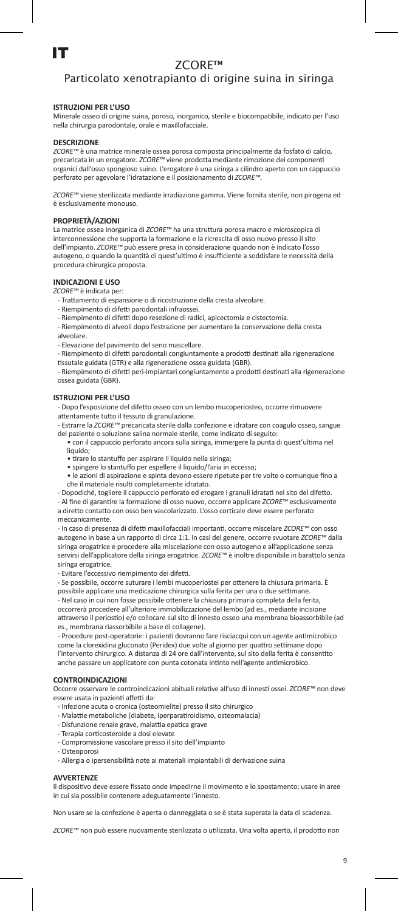# Particolato xenotrapianto di origine suina in siringa

# **ISTRUZIONI PER L'USO**

Minerale osseo di origine suina, poroso, inorganico, sterile e biocompatibile, indicato per l'uso nella chirurgia parodontale, orale e maxillofacciale.

### **DESCRIZIONE**

*ZCORE™* è una matrice minerale ossea porosa composta principalmente da fosfato di calcio, precaricata in un erogatore. *ZCORE™* viene prodotta mediante rimozione dei componenti organici dall'osso spongioso suino. L'erogatore è una siringa a cilindro aperto con un cappuccio perforato per agevolare l'idratazione e il posizionamento di *ZCORE™*.

*ZCORE™* viene sterilizzata mediante irradiazione gamma. Viene fornita sterile, non pirogena ed è esclusivamente monouso.

# **PROPRIETÀ/AZIONI**

La matrice ossea inorganica di *ZCORE™* ha una struttura porosa macro e microscopica di interconnessione che supporta la formazione e la ricrescita di osso nuovo presso il sito dell'impianto. *ZCORE™* può essere presa in considerazione quando non è indicato l'osso autogeno, o quando la quantità di quest'ultimo è insufficiente a soddisfare le necessità della procedura chirurgica proposta.

# **INDICAZIONI E USO**  *ZCORE™* è indicata per:

- Trattamento di espansione o di ricostruzione della cresta alveolare.
- Riempimento di difetti parodontali infraosse
- Riempimento di difetti dopo resezione di radici, apicectomia e cistectomia.

- Riempimento di alveoli dopo l'estrazione per aumentare la conservazione della cresta alveolare.

- Elevazione del pavimento del seno mascellare.

- Riempimento di difetti parodontali congiuntamente a prodotti destinati alla rigenerazione tissutale guidata (GTR) e alla rigenerazione ossea guidata (GBR).

- Riempimento di difetti peri-implantari congiuntamente a prodotti destinati alla rigenerazione ossea guidata (GBR).

## **ISTRUZIONI PER L'USO**

- Dopo l'esposizione del difetto osseo con un lembo mucoperiosteo, occorre rimuovere attentamente tutto il tessuto di granulazione.

- Estrarre la *ZCORE™* precaricata sterile dalla confezione e idratare con coagulo osseo, sangue del paziente o soluzione salina normale sterile, come indicato di seguito:

- con il cappuccio perforato ancora sulla siringa, immergere la punta di quest'ultima nel liquido;
- tirare lo stantuffo per aspirare il liquido nella siringa;
- spingere lo stantuffo per espellere il liquido/l'aria in eccesso;

• le azioni di aspirazione e spinta devono essere ripetute per tre volte o comunque fino a che il materiale risulti completamente idratato.

- Dopodiché, togliere il cappuccio perforato ed erogare i granuli idratati nel sito del difetto. - Al fine di garantire la formazione di osso nuovo, occorre applicare *ZCORE™* esclusivamente a diretto contatto con osso ben vascolarizzato. L'osso corticale deve essere perforato

meccanicamente. - In caso di presenza di difetti maxillofacciali importanti, occorre miscelare *ZCORE™* con osso

autogeno in base a un rapporto di circa 1:1. In casi del genere, occorre svuotare *ZCORE™* dalla siringa erogatrice e procedere alla miscelazione con osso autogeno e all'applicazione senza servirsi dell'applicatore della siringa erogatrice. *ZCORE™* è inoltre disponibile in barattolo senza siringa erogatrice.

- Evitare l'eccessivo riempimento dei difetti.

- Se possibile, occorre suturare i lembi mucoperiostei per ottenere la chiusura primaria. È possibile applicare una medicazione chirurgica sulla ferita per una o due settiman

- Nel caso in cui non fosse possibile ottenere la chiusura primaria completa della ferita, occorrerà procedere all'ulteriore immobilizzazione del lembo (ad es., mediante incisione attraverso il periostio) e/o collocare sul sito di innesto osseo una membrana bioassorbibile (ad es., membrana riassorbibile a base di collagene).

- Procedure post-operatorie: i pazienti dovranno fare risciacqui con un agente antimicrobico come la clorexidina gluconato (Peridex) due volte al giorno per quattro settimane dopo l'intervento chirurgico. A distanza di 24 ore dall'intervento, sul sito della ferita è consentito anche passare un applicatore con punta cotonata intinto nell'agente antimicrobico.

#### **CONTROINDICAZIONI**

Occorre osservare le controindicazioni abituali relative all'uso di innesti ossei. *ZCORE™* non deve essere usata in pazienti affetti da:

- Infezione acuta o cronica (osteomielite) presso il sito chirurgico
- Malattie metaboliche (diabete, iperparatiroidismo, osteomalacia)
- Disfunzione renale grave, malattia epatica grave
- Terapia corticosteroide a dosi elevate
- Compromissione vascolare presso il sito dell'impianto
- Osteoporosi
- Allergia o ipersensibilità note ai materiali impiantabili di derivazione suina

### **AVVERTENZE**

Il dispositivo deve essere fissato onde impedirne il movimento e lo spostamento; usare in aree in cui sia possibile contenere adeguatamente l'innesto.

Non usare se la confezione è aperta o danneggiata o se è stata superata la data di scadenza.

*ZCORE™* non può essere nuovamente sterilizzata o utilizzata. Una volta aperto, il prodotto non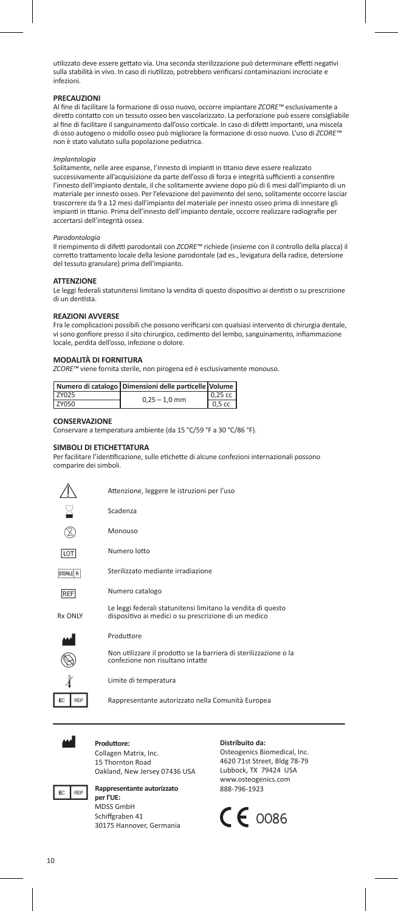utilizzato deve essere gettato via. Una seconda sterilizzazione può determinare effetti negativi sulla stabilità in vivo. In caso di riutilizzo, potrebbero verificarsi contaminazioni incrociate e infezioni.

# **PRECAUZIONI**

Al fine di facilitare la formazione di osso nuovo, occorre impiantare *ZCORE™* esclusivamente a diretto contatto con un tessuto osseo ben vascolarizzato. La perforazione può essere consigliabile al fine di facilitare il sanguinamento dall'osso corticale. In caso di difetti importanti, una miscela di osso autogeno o midollo osseo può migliorare la formazione di osso nuovo. L'uso di *ZCORE™* non è stato valutato sulla popolazione pediatrica.

### *Implantologia*

Solitamente, nelle aree espanse, l'innesto di impianti in titanio deve essere realizzato successivamente all'acquisizione da parte dell'osso di forza e integrità sufficienti a consentire l'innesto dell'impianto dentale, il che solitamente avviene dopo più di 6 mesi dall'impianto di un materiale per innesto osseo. Per l'elevazione del pavimento del seno, solitamente occorre lasciar trascorrere da 9 a 12 mesi dall'impianto del materiale per innesto osseo prima di innestare gli impianti in titanio. Prima dell'innesto dell'impianto dentale, occorre realizzare radiografie per accertarsi dell'integrità ossea.

### *Parodontologia*

Il riempimento di difetti parodontali con *ZCORE™* richiede (insieme con il controllo della placca) il corretto trattamento locale della lesione parodontale (ad es., levigatura della radice, detersione del tessuto granulare) prima dell'impianto.

#### **ATTENZIONE**

Le leggi federali statunitensi limitano la vendita di questo dispositivo ai dentisti o su prescrizione di un dentista.

### **REAZIONI AVVERSE**

Fra le complicazioni possibili che possono verificarsi con qualsiasi intervento di chirurgia dentale, vi sono gonfiore presso il sito chirurgico, cedimento del lembo, sanguinamento, infiammazione locale, perdita dell'osso, infezione o dolore.

### **MODALITÀ DI FORNITURA**

*ZCORE™* viene fornita sterile, non pirogena ed è esclusivamente monouso.

|       | Numero di catalogo Dimensioni delle particelle Volume |           |
|-------|-------------------------------------------------------|-----------|
| ZY025 |                                                       | $0,25$ cc |
| ZY050 | $0.25 - 1.0$ mm                                       | $0,5$ cc  |

#### **CONSERVAZIONE**

Conservare a temperatura ambiente (da 15 °C/59 °F a 30 °C/86 °F).

### **SIMBOLI DI ETICHETTATURA**

Per facilitare l'identificazione, sulle etichette di alcune confezioni internazionali possono comparire dei simboli.



Produttore: Collagen Matrix, Inc. 15 Thornton Road Oakland, New Jersey 07436 USA



#### **Rappresentante autorizzato per l'UE:** MDSS GmbH

Schiffgraben 41 30175 Hannover, Germania

### **Distribuito da:**

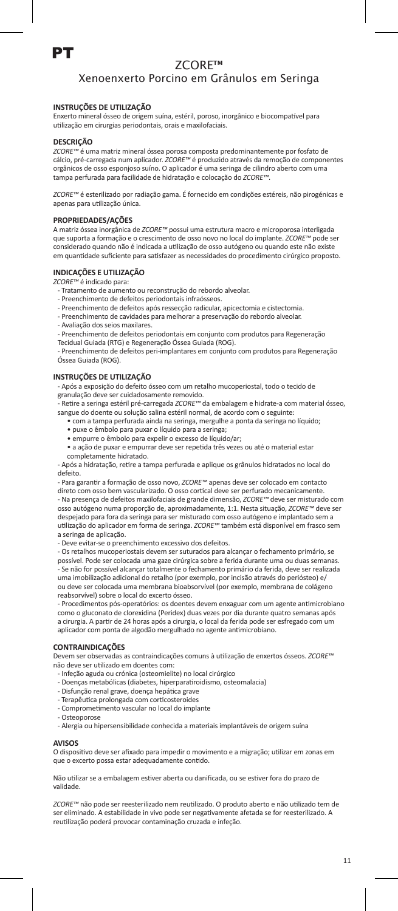# PT

# ZCORE™

# Xenoenxerto Porcino em Grânulos em Seringa

# **INSTRUÇÕES DE UTILIZAÇÃO**

Enxerto mineral ósseo de origem suína, estéril, poroso, inorgânico e biocompatível para utilização em cirurgias periodontais, orais e maxilofaciais.

### **DESCRIÇÃO**

*ZCORE™* é uma matriz mineral óssea porosa composta predominantemente por fosfato de cálcio, pré-carregada num aplicador. *ZCORE™* é produzido através da remoção de componentes orgânicos de osso esponjoso suíno. O aplicador é uma seringa de cilindro aberto com uma tampa perfurada para facilidade de hidratação e colocação do *ZCORE™*.

*ZCORE™* é esterilizado por radiação gama. É fornecido em condições estéreis, não pirogénicas e apenas para utilização única.

### **PROPRIEDADES/AÇÕES**

A matriz óssea inorgânica de *ZCORE™* possui uma estrutura macro e microporosa interligada que suporta a formação e o crescimento de osso novo no local do implante. *ZCORE™* pode ser considerado quando não é indicada a utilização de osso autógeno ou quando este não existe em quantidade suficiente para satisfazer as necessidades do procedimento cirúrgico proposto.

### **INDICAÇÕES E UTILIZAÇÃO**

*ZCORE™* é indicado para:

- Tratamento de aumento ou reconstrução do rebordo alveolar.
- Preenchimento de defeitos periodontais infraósseos.
- Preenchimento de defeitos após ressecção radicular, apicectomia e cistectomia.
- Preenchimento de cavidades para melhorar a preservação do rebordo alveolar.
- Avaliação dos seios maxilares.

- Preenchimento de defeitos periodontais em conjunto com produtos para Regeneração Tecidual Guiada (RTG) e Regeneração Óssea Guiada (ROG).

- Preenchimento de defeitos peri-implantares em conjunto com produtos para Regeneração Óssea Guiada (ROG).

# **INSTRUÇÕES DE UTILIZAÇÃO**

- Após a exposição do defeito ósseo com um retalho mucoperiostal, todo o tecido de granulação deve ser cuidadosamente removido.

- Retire a seringa estéril pré-carregada *ZCORE™* da embalagem e hidrate-a com material ósseo, sangue do doente ou solução salina estéril normal, de acordo com o seguinte:

- $\bullet$  com a tampa perfurada ainda na seringa, mergulhe a ponta da seringa no líqu
- puxe o êmbolo para puxar o líquido para a seringa;
- empurre o êmbolo para expelir o excesso de líquido/ar;
- a ação de puxar e empurrar deve ser repetida três vezes ou até o material estar completamente hidratado.

- Após a hidratação, retire a tampa perfurada e aplique os grânulos hidratados no local do defeito.

- Para garantir a formação de osso novo, *ZCORE™* apenas deve ser colocado em contacto direto com osso bem vascularizado. O osso cortical deve ser perfurado mecanicamente. - Na presença de defeitos maxilofaciais de grande dimensão, *ZCORE™* deve ser misturado com osso autógeno numa proporção de, aproximadamente, 1:1. Nesta situação, *ZCORE™* deve ser<br>despejado para fora da seringa para ser misturado com osso autógeno e implantado sem a utilização do aplicador em forma de seringa. *ZCORE™* também está disponível em frasco sem a seringa de aplicação.

- Deve evitar-se o preenchimento excessivo dos defeitos.

- Os retalhos mucoperiostais devem ser suturados para alcançar o fechamento primário, se possível. Pode ser colocada uma gaze cirúrgica sobre a ferida durante uma ou duas semanas. - Se não for possível alcançar totalmente o fechamento primário da ferida, deve ser realizada uma imobilização adicional do retalho (por exemplo, por incisão através do periósteo) e/ ou deve ser colocada uma membrana bioabsorvível (por exemplo, membrana de colágeno reabsorvível) sobre o local do excerto ósseo.

- Procedimentos pós-operatórios: os doentes devem enxaguar com um agente antimicrobiano como o gluconato de clorexidina (Peridex) duas vezes por dia durante quatro semanas após a cirurgia. A partir de 24 horas após a cirurgia, o local da ferida pode ser esfregado com um aplicador com ponta de algodão mergulhado no agente antimicrobiano.

### **CONTRAINDICAÇÕES**

Devem ser observadas as contraindicações comuns à utilização de enxertos ósseos. *ZCORE™* não deve ser utilizado em doentes com:

- Infeção aguda ou crónica (osteomielite) no local cirúrgico
- Doenças metabólicas (diabetes, hiperparatiroidismo, osteomalacia)
- Disfunção renal grave, doença hepática grave
- Terapêutica prolongada com corticosteroides
- Comprometimento vascular no local do implante
- Osteoporose
- Alergia ou hipersensibilidade conhecida a materiais implantáveis de origem suína

### **AVISOS**

O dispositivo deve ser afixado para impedir o movimento e a migração; utilizar em zonas er que o excerto possa estar adequadamente contido.

Não utilizar se a embalagem estiver aberta ou danificada, ou se estiver fora do prazo de validade.

*ZCORE™* não pode ser reesterilizado nem reutilizado. O produto aberto e não utilizado tem de ser eliminado. A estabilidade in vivo pode ser negativamente afetada se for reesterilizado. A reutilização poderá provocar contaminação cruzada e infeção.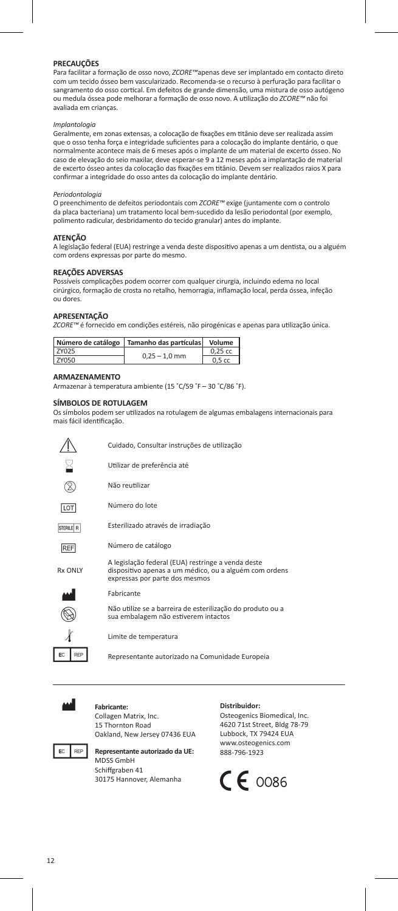# **PRECAUÇÕES**

Para facilitar a formação de osso novo, *ZCORE™*apenas deve ser implantado em contacto direto com um tecido ósseo bem vascularizado. Recomenda-se o recurso à perfuração para facilitar o sangramento do osso cortical. Em defeitos de grande dimensão, uma mistura de osso autógeno ou medula óssea pode melhorar a formação de osso novo. A utilização do *ZCORE™* não foi avaliada em crianças.

# *Implantologia*

Geralmente, em zonas extensas, a colocação de fixações em titânio deve ser realizada assim que o osso tenha força e integridade suficientes para a colocação do implante dentário, o que normalmente acontece mais de 6 meses após o implante de um material de excerto ósseo. No caso de elevação do seio maxilar, deve esperar-se 9 a 12 meses após a implantação de material de excerto ósseo antes da colocação das fixações em titânio. Devem ser realizados raios X para confirmar a integridade do osso antes da colocação do implante dentário.

### *Periodontologia*

O preenchimento de defeitos periodontais com *ZCORE™* exige (juntamente com o controlo da placa bacteriana) um tratamento local bem-sucedido da lesão periodontal (por exemplo, polimento radicular, desbridamento do tecido granular) antes do implante.

### **ATENÇÃO**

A legislação federal (EUA) restringe a venda deste dispositivo apenas a um dentista, ou a alguém com ordens expressas por parte do mesmo.

### **REAÇÕES ADVERSAS**

Possíveis complicações podem ocorrer com qualquer cirurgia, incluindo edema no local cirúrgico, formação de crosta no retalho, hemorragia, inflamação local, perda óssea, infeção ou dores.

## **APRESENTAÇÃO**

*ZCORE™* é fornecido em condições estéreis, não pirogénicas e apenas para utilização única.

|              | Número de catálogo   Tamanho das partículas   Volume |                   |
|--------------|------------------------------------------------------|-------------------|
| <b>7Y025</b> | $0.25 - 1.0$ mm                                      | $0.25$ cc         |
| <b>7Y050</b> |                                                      | 0.5 <sub>cc</sub> |

# **ARMAZENAMENTO**

Armazenar à temperatura ambiente (15 ˚C/59 ˚F – 30 ˚C/86 ˚F).

### **SÍMBOLOS DE ROTULAGEM**

Os símbolos podem ser utilizados na rotulagem de algumas embalagens internacionais para mais fácil identificação.

|            | Cuidado, Consultar instruções de utilização                                                                                                    |
|------------|------------------------------------------------------------------------------------------------------------------------------------------------|
|            | Utilizar de preferência até                                                                                                                    |
|            | Não reutilizar                                                                                                                                 |
| LOT        | Número do lote                                                                                                                                 |
| STERILE R  | Esterilizado através de irradiação                                                                                                             |
| <b>REF</b> | Número de catálogo                                                                                                                             |
| Rx ONIY    | A legislação federal (EUA) restringe a venda deste<br>dispositivo apenas a um médico, ou a alguém com ordens<br>expressas por parte dos mesmos |
| .          | .                                                                                                                                              |





Fabricante



Não utilize se a barreira de esterilização do produto ou a sua embalagem não estiverem intactos

Limite de temperatura

Representante autorizado na Comunidade Europeia



Fabricante: Collagen Matrix, Inc. 15 Thornton Road Oakland, New Jersey 07436 EUA



**EC REP Representante autorizado da UE:** MDSS GmbH

## Schiffgraben 41 30175 Hannover, Alemanha

#### **Distribuidor:**

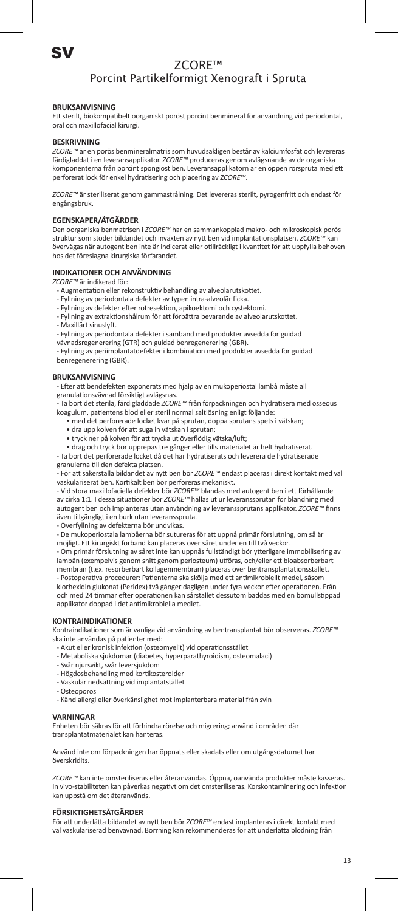# Porcint Partikelformigt Xenograft i Spruta

# **BRUKSANVISNING**

Ett sterilt, biokompatibelt oorganiskt poröst porcint benmineral för användning vid periodontal, oral och maxillofacial kirurgi.

### **BESKRIVNING**

*ZCORE™* är en porös benmineralmatris som huvudsakligen består av kalciumfosfat och levereras färdigladdat i en leveransapplikator. *ZCORE™* produceras genom avlägsnande av de organiska<br>komponenterna från porcint spongiöst ben. Leveransapplikatorn är en öppen rörspruta med ett perforerat lock för enkel hydratisering och placering av *ZCORE™*.

*ZCORE™* är steriliserat genom gammastrålning. Det levereras sterilt, pyrogenfritt och endast för engångsbruk.

# **EGENSKAPER/ÅTGÄRDER**

Den oorganiska benmatrisen i *ZCORE™* har en sammankopplad makro- och mikroskopisk porös struktur som stöder bildandet och inväxten av nytt ben vid implantationsplatsen. *ZCORE™* kan övervägas när autogent ben inte är indicerat eller otillräckligt i kvantitet för att uppfylla behoven hos det föreslagna kirurgiska förfarandet.

### **INDIKATIONER OCH ANVÄNDNING**

*ZCORE™* är indikerad för:

- Augmentation eller rekonstruktiv behandling av alveolarutskott
- Fyllning av periodontala defekter av typen intra-alveolär ficka.
- Fyllning av defekter efter rotresektion, apikoektomi och cystektomi.
- Fyllning av extraktionshålrum för att förbättra bevarande av alveolarutskottet. - Maxillärt sinuslyft.
- 
- Fyllning av periodontala defekter i samband med produkter avsedda för guidad vävnadsregenerering (GTR) och guidad benregenerering (GBR).
- Fyllning av periimplantatdefekter i kombination med produkter avsedda för guidad

benregenerering (GBR).

# **BRUKSANVISNING**

- Efter att bendefekten exponerats med hjälp av en mukoperiostal lambå måste all granulationsvävnad försiktigt avlägsnas.

- Ta bort det sterila, färdigladdade *ZCORE™* från förpackningen och hydratisera med osseous koagulum, patientens blod eller steril normal saltlösning enligt följande:

- med det perforerade locket kvar på sprutan, doppa sprutans spets i vätskan;
- dra upp kolven för att suga in vätskan i sprutan;
- tryck ner på kolven för att trycka ut överflödig vätska/luft;
- drag och tryck bör upprepas tre gånger eller tills materialet är helt hydratiserat.

- Ta bort det perforerade locket då det har hydratiserats och leverera de hydratiserade granulerna till den defekta platsen.

- För att säkerställa bildandet av nytt ben bör *ZCORE™* endast placeras i direkt kontakt med väl vaskulariserat ben. Kortikalt ben bör perforeras mekaniskt.

- Vid stora maxillofaciella defekter bör *ZCORE™* blandas med autogent ben i ett förhållande av cirka 1:1. I dessa situationer bör *ZCORE™* hällas ut ur leveranssprutan för blandning med autogent ben och implanteras utan användning av leveranssprutans applikator. *ZCORE™* finns även tillgängligt i en burk utan leveransspruta.

- Överfyllning av defekterna bör undvikas.

- De mukoperiostala lambåerna bör sutureras för att uppnå primär förslutning, om så är möjligt. Ett kirurgiskt förband kan placeras över såret under en till två veckor.

- Om primär förslutning av såret inte kan uppnås fullständigt bör ytterligare immobilisering av lambån (exempelvis genom snitt genom periosteum) utföras, och/eller ett bioabsorberbar membran (t.ex. resorberbart kollagenmembran) placeras över bentransplantationsstället. - Postoperativa procedurer: Patienterna ska skölja med ett antimikrobiellt medel, såsom klorhexidin glukonat (Peridex) två gånger dagligen under fyra veckor efter operationen. Från och med 24 timmar efter operationen kan sårstället dessutom baddas med en bomullstippad applikator doppad i det antimikrobiella medlet.

### **KONTRAINDIKATIONER**

Kontraindikationer som är vanliga vid användning av bentransplantat bör observeras. *ZCORE™* ska inte användas på patienter med:

- Akut eller kronisk infektion (osteomyelit) vid operationsstället
- Metaboliska sjukdomar (diabetes, hyperparathyroidism, osteomalaci)
- Svår njursvikt, svår leversjukdom
- Högdosbehandling med kortikosteroider
- Vaskulär nedsättning vid implantatstället
- Osteoporos
- Känd allergi eller överkänslighet mot implanterbara material från svin

### **VARNINGAR**

Enheten bör säkras för att förhindra rörelse och migrering; använd i områden där transplantatmaterialet kan hanteras.

Använd inte om förpackningen har öppnats eller skadats eller om utgångsdatumet har överskridits.

*ZCORE™* kan inte omsteriliseras eller återanvändas. Öppna, oanvända produkter måste kasseras. In vivo-stabiliteten kan påverkas negativt om det omsteriliseras. Korskontaminering och infektion kan uppstå om det återanvänds.

### **FÖRSIKTIGHETSÅTGÄRDER**

För att underlätta bildandet av nytt ben bör *ZCORE™* endast implanteras i direkt kontakt med väl vaskulariserad benvävnad. Borrning kan rekommenderas för att underlätta blödning från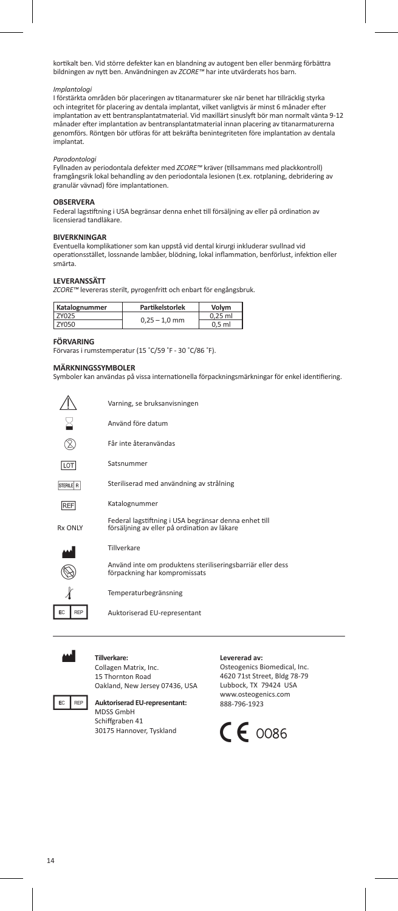kortikalt ben. Vid större defekter kan en blandning av autogent ben eller benmärg förbättra bildningen av nytt ben. Användningen av *ZCORE™* har inte utvärderats hos barn.

# *Implantologi*

I förstärkta områden bör placeringen av titanarmaturer ske när benet har tillräcklig styrka och integritet för placering av dentala implantat, vilket vanligtvis är minst 6 månader efter implantation av ett bentransplantatmaterial. Vid maxillärt sinuslyft bör man normalt vänta 9-12 månader efter implantation av bentransplantatmaterial innan placering av titanarmaturerna genomförs. Röntgen bör utföras för att bekräfta benintegriteten före implantation av dentala implantat.

## *Parodontologi*

Fyllnaden av periodontala defekter med *ZCORE™* kräver (tillsammans med plackkontroll) framgångsrik lokal behandling av den periodontala lesionen (t.ex. rotplaning, debridering av granulär vävnad) före implantationen.

### **OBSERVERA**

Federal lagstiftning i USA begränsar denna enhet till försäljning av eller på ordination av licensierad tandläkare.

# **BIVERKNINGAR**

Eventuella komplikationer som kan uppstå vid dental kirurgi inkluderar svullnad vid operationsstället, lossnande lambåer, blödning, lokal inflammation, benförlust, infektion eller smärta.

# **LEVERANSSÄTT**

*ZCORE™* levereras sterilt, pyrogenfritt och enbart för engångsbruk.

| Katalognummer | Partikelstorlek | Volvm     |
|---------------|-----------------|-----------|
| <b>7Y025</b>  | $0.25 - 1.0$ mm | $0.25$ ml |
| ZY050         |                 | $0.5$ ml  |

### **FÖRVARING**

Förvaras i rumstemperatur (15 ˚C/59 ˚F - 30 ˚C/86 ˚F).

### **MÄRKNINGSSYMBOLER**

Symboler kan användas på vissa internationella förpackningsmärkningar för enkel identifiering.

|                | Varning, se bruksanvisningen                                                                          |
|----------------|-------------------------------------------------------------------------------------------------------|
|                | Använd före datum                                                                                     |
|                | Får inte återanvändas                                                                                 |
| LOT            | Satsnummer                                                                                            |
| STERILE R      | Steriliserad med användning av strålning                                                              |
| <b>REF</b>     | Katalognummer                                                                                         |
| <b>Rx ONIY</b> | Federal lagstiftning i USA begränsar denna enhet till<br>försäljning av eller på ordination av läkare |
|                | Tillverkare                                                                                           |
|                | Använd inte om produktens steriliseringsbarriär eller dess<br>förpackning har kompromissats           |
|                | Temperaturbegränsning                                                                                 |
| EC<br>RFP      | Auktoriserad EU-representant                                                                          |



# **Tillverkare:**

Collagen Matrix, Inc. 15 Thornton Road Oakland, New Jersey 07436, USA



**FC** REP Auktoriserad EU-representant: MDSS GmbH Schiffgraben 41 30175 Hannover, Tyskland

### **Levererad av:**

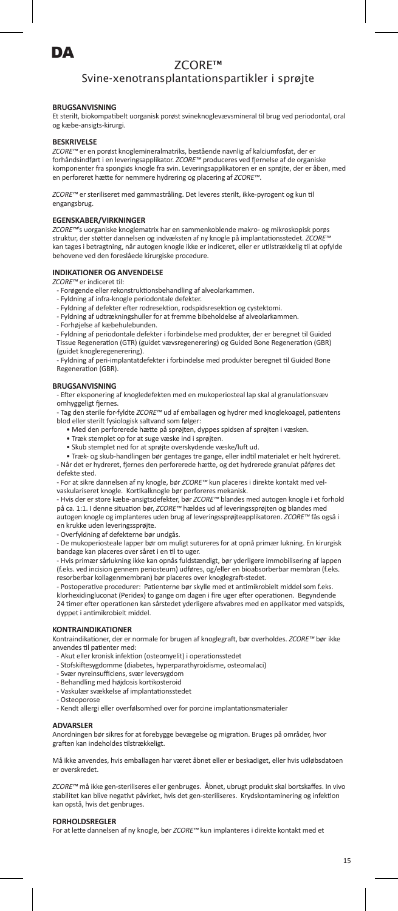

# Svine-xenotransplantationspartikler i sprøjte

# **BRUGSANVISNING**

Et sterilt, biokompatibelt uorganisk porøst svineknoglevævsmineral til brug ved periodontal, oral og kæbe-ansigts-kirurgi.

### **BESKRIVELSE**

*ZCORE™* er en porøst knoglemineralmatriks, bestående navnlig af kalciumfosfat, der er forhåndsindført i en leveringsapplikator. *ZCORE™* produceres ved fjernelse af de organiske komponenter fra spongiøs knogle fra svin. Leveringsapplikatoren er en sprøjte, der er åben, med en perforeret hætte for nemmere hydrering og placering af *ZCORE™*.

*ZCORE™* er steriliseret med gammastråling. Det leveres sterilt, ikke-pyrogent og kun til engangsbrug.

### **EGENSKABER/VIRKNINGER**

*ZCORE™*'s uorganiske knoglematrix har en sammenkoblende makro- og mikroskopisk porøs struktur, der støtter dannelsen og indvæksten af ny knogle på implantationsstedet. *ZCORE™* kan tages i betragtning, når autogen knogle ikke er indiceret, eller er utilstrækkelig til at opfylde behovene ved den foreslåede kirurgiske procedure.

### **INDIKATIONER OG ANVENDELSE**

*ZCORE™* er indiceret til:

- Forøgende eller rekonstruktionsbehandling af alveolarkamm
- Fyldning af infra-knogle periodontale defekter.
- Fyldning af defekter efter rodresektion, rodspidsresektion og cystektomi.
- Fyldning af udtrækningshuller for at fremme bibeholdelse af alveolarkammen.
- Forhøjelse af kæbehulebunden.

- Fyldning af periodontale defekter i forbindelse med produkter, der er beregnet til Guided Tissue Regeneration (GTR) (guidet vævsregenerering) og Guided Bone Regeneration (GBR) (guidet knogleregenerering).

- Fyldning af peri-implantatdefekter i forbindelse med produkter beregnet til Guided Bone Regeneration (GBR).

### **BRUGSANVISNING**

- Efter eksponering af knogledefekten med en mukoperiosteal lap skal al granulationsvæv omhyggeligt fjerne

- Tag den sterile for-fyldte *ZCORE™* ud af emballagen og hydrer med knoglekoagel, patientens blod eller sterilt fysiologisk saltvand som følger:

• Med den perforerede hætte på sprøjten, dyppes spidsen af sprøjten i væsken.

- Træk stemplet op for at suge væske ind i sprøjten.
- Skub stemplet ned for at sprøjte overskydende væske/luft ud.

• Træk- og skub-handlingen bør gentages tre gange, eller indtil materialet er helt hydreret. - Når det er hydreret, fjernes den perforerede hætte, og det hydrerede granulat påføres det defekte sted.

- For at sikre dannelsen af ny knogle, bør *ZCORE™* kun placeres i direkte kontakt med vel-

vaskulariseret knogle. Kortikalknogle bør perforeres mekanisk.<br>- Hvis der er store kæbe-ansigtsdefekter, bør ZCORE™ blandes med autogen knogle i et forhold<br>på ca. 1:1. I denne situation bør, ZCORE™ hældes ud af leveringss autogen knogle og implanteres uden brug af leveringssprøjteapplikatoren. *ZCORE™* fås også i en krukke uden leveringssprøjte.

- Overfyldning af defekterne bør undgås.

- De mukoperiosteale lapper bør om muligt sutureres for at opnå primær lukning. En kirurgisk bandage kan placeres over såret i en til to uger.

- Hvis primær sårlukning ikke kan opnås fuldstændigt, bør yderligere immobilisering af lappen (f.eks. ved incision gennem periosteum) udføres, og/eller en bioabsorberbar membran (f.eks. resorberbar kollagenmembran) bør placeres over knoglegraft-stedet.

- Postoperative procedurer: Patienterne bør skylle med et antimikrobielt middel som f.eks. klorhexidingluconat (Peridex) to gange om dagen i fire uger efter operationen. Begyndende 24 timer efter operationen kan sårstedet yderligere afsvabres med en applikator med vatspids, dyppet i antimikrobielt middel.

### **KONTRAINDIKATIONER**

Kontraindikationer, der er normale for brugen af knoglegraft, bør overholdes. *ZCORE™* bør ikke anvendes til patienter med:

- Akut eller kronisk infektion (osteomyelit) i operationsstedet
- Stofskiftesygdomme (diabetes, hyperparathyroidisme, osteomalaci)
- Svær nyreinsufficiens, svær leversygdom
- Behandling med højdosis kortikosteroid
- Vaskulær svækkelse af implantationsstedet
- Osteoporose
- Kendt allergi eller overfølsomhed over for porcine implantationsmaterialer

### **ADVARSLER**

Anordningen bør sikres for at forebygge bevægelse og migration. Bruges på områder, hvor graften kan indeholdes tilstrækkeligt.

Må ikke anvendes, hvis emballagen har været åbnet eller er beskadiget, eller hvis udløbsdatoen er overskredet.

*ZCORE™* må ikke gen-steriliseres eller genbruges. Åbnet, ubrugt produkt skal bortskaffes. In vivo stabilitet kan blive negativt påvirket, hvis det gen-steriliseres. Krydskontaminering og infektion kan opstå, hvis det genbruges.

### **FORHOLDSREGLER**

For at lette dannelsen af ny knogle, bør *ZCORE™* kun implanteres i direkte kontakt med et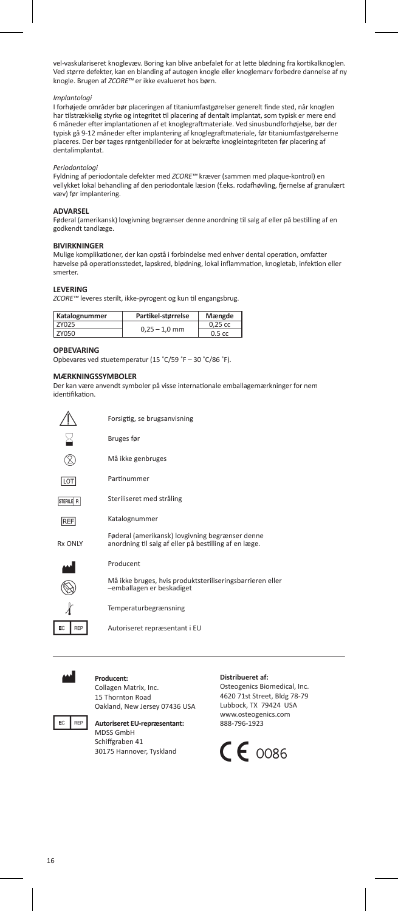vel-vaskulariseret knoglevæv. Boring kan blive anbefalet for at lette blødning fra kortikalknoglen. Ved større defekter, kan en blanding af autogen knogle eller knoglemarv forbedre dannelse af ny<br>knogle. Brugen af *ZCORE™* er ikke evalueret hos børn.

### *Implantologi*

I forhøjede områder bør placeringen af titaniumfastgørelser generelt finde sted, når knoglen har tilstrækkelig styrke og integritet til placering af dentalt implantat, som typisk er mere end 6 måneder efter implantationen af et knoglegraftmateriale. Ved sinusbundforhøjelse, bør der typisk gå 9-12 måneder efter implantering af knoglegraftmateriale, før titaniumfastgørelserne placeres. Der bør tages røntgenbilleder for at bekræfte knogleintegriteten før placering af dentalimplantat.

# *Periodontologi*

Fyldning af periodontale defekter med *ZCORE™* kræver (sammen med plaque-kontrol) en vellykket lokal behandling af den periodontale læsion (f.eks. rodafhøvling, fjernelse af granulært væv) før implantering.

### **ADVARSEL**

Føderal (amerikansk) lovgivning begrænser denne anordning til salg af eller på bestilling af en godkendt tandlæge.

# **BIVIRKNINGER**

Mulige komplikationer, der kan opstå i forbindelse med enhver dental operation, omfatter hævelse på operationsstedet, lapskred, blødning, lokal inflammation, knogletab, infektion eller smerter.

### **LEVERING**

*ZCORE™* leveres sterilt, ikke-pyrogent og kun til engangsbrug.

| Katalognummer | Partikel-størrelse | Mængde           |
|---------------|--------------------|------------------|
| <b>7Y025</b>  | $0.25 - 1.0$ mm    | $0.25$ cc        |
| ZY050         |                    | $0.5 \text{ cc}$ |

#### **OPBEVARING**

Opbevares ved stuetemperatur (15 ˚C/59 ˚F – 30 ˚C/86 ˚F).

# **MÆRKNINGSSYMBOLER**

Der kan være anvendt symboler på visse internationale emballagemærkninger for nem identifikation.

|            | Forsigtig, se brugsanvisning                                                                             |
|------------|----------------------------------------------------------------------------------------------------------|
|            | Bruges før                                                                                               |
|            | Må ikke genbruges                                                                                        |
| LOT        | Partinummer                                                                                              |
| STERILE R  | Steriliseret med stråling                                                                                |
| <b>REF</b> | Katalognummer                                                                                            |
| Rx ONIY    | Føderal (amerikansk) lovgivning begrænser denne<br>anordning til salg af eller på bestilling af en læge. |
|            | Producent                                                                                                |
|            | Må ikke bruges, hvis produktsteriliseringsbarrieren eller<br>-emballagen er beskadiget                   |
|            | Temperaturbegrænsning                                                                                    |

Autoriseret repræsentant i EU



EC REP

### M **Producent:**

Collagen Matrix, Inc. 15 Thornton Road Oakland, New Jersey 07436 USA



## **FC** REP Autoriseret EU-repræsentant: MDSS GmbH Schiffgraben 41 30175 Hannover, Tyskland

# **Distribueret af:**

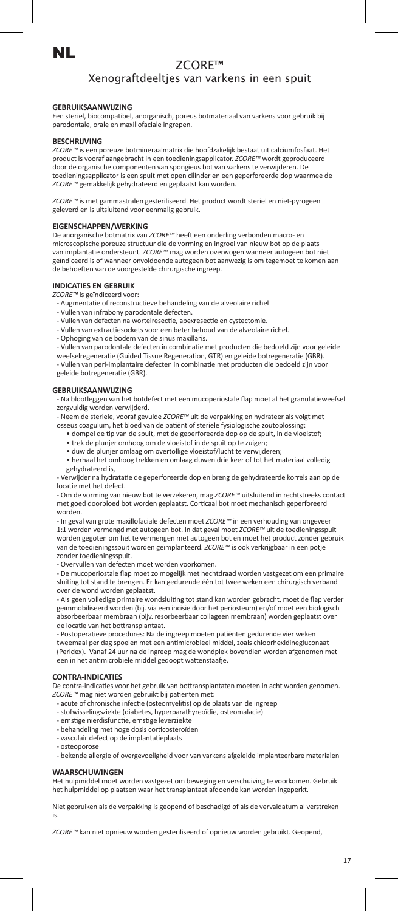# NL

# ZCORE™

# Xenograftdeeltjes van varkens in een spuit

# **GEBRUIKSAANWIJZING**

Een steriel, biocompatibel, anorganisch, poreus botmateriaal van varkens voor gebruik bij parodontale, orale en maxillofaciale ingrepen.

### **BESCHRIJVING**

*ZCORE™* is een poreuze botmineraalmatrix die hoofdzakelijk bestaat uit calciumfosfaat. Het product is vooraf aangebracht in een toedieningsapplicator. *ZCORE™* wordt geproduceerd door de organische componenten van spongieus bot van varkens te verwijderen. De toedieningsapplicator is een spuit met open cilinder en een geperforeerde dop waarmee de *ZCORE™* gemakkelijk gehydrateerd en geplaatst kan worden.

*ZCORE™* is met gammastralen gesteriliseerd. Het product wordt steriel en niet-pyrogeen geleverd en is uitsluitend voor eenmalig gebruik.

### **EIGENSCHAPPEN/WERKING**

De anorganische botmatrix van *ZCORE™* heeft een onderling verbonden macro- en microscopische poreuze structuur die de vorming en ingroei van nieuw bot op de plaats van implantatie ondersteunt. *ZCORE™* mag worden overwogen wanneer autogeen bot niet geïndiceerd is of wanneer onvoldoende autogeen bot aanwezig is om tegemoet te komen aan de behoeften van de voorgestelde chirurgische ingreep.

# **INDICATIES EN GEBRUIK**

*ZCORE™* is geïndiceerd voor:

- Augmentatie of reconstructieve behandeling van de alveolaire richel
- Vullen van infrabony parodontale defecten.
- Vullen van defecten na wortelresectie, apexresectie en cystectomie.
- Vullen van extractiesockets voor een beter behoud van de alveolaire richel.
- Ophoging van de bodem van de sinus maxillaris.

- Vullen van parodontale defecten in combinatie met producten die bedoeld zijn voor geleide weefselregeneratie (Guided Tissue Regeneration, GTR) en geleide botregeneratie (GBR).

- Vullen van peri-implantaire defecten in combinatie met producten die bedoeld zijn voor geleide botregeneratie (GBR).

### **GEBRUIKSAANWIJZING**

- Na blootleggen van het botdefect met een mucoperiostale flap moet al het granulatieweefsel zorgvuldig worden verwijderd.

- Neem de steriele, vooraf gevulde *ZCORE™* uit de verpakking en hydrateer als volgt met osseus coagulum, het bloed van de patiënt of steriele fysiologische zoutoplossing:

- dompel de tip van de spuit, met de geperforeerde dop op de spuit, in de vloeistof;
- trek de plunjer omhoog om de vloeistof in de spuit op te zuigen;

• duw de plunjer omlaag om overtollige vloeistof/lucht te verwijde

• herhaal het omhoog trekken en omlaag duwen drie keer of tot het materiaal volledig gehydrateerd is,

- Verwijder na hydratatie de geperforeerde dop en breng de gehydrateerde korrels aan op de locatie met het defect.

- Om de vorming van nieuw bot te verzekeren, mag *ZCORE™* uitsluitend in rechtstreeks contact met goed doorbloed bot worden geplaatst. Corticaal bot moet mechanisch geperforeerd worden.

- In geval van grote maxillofaciale defecten moet *ZCORE™* in een verhouding van ongeveer 1:1 worden vermengd met autogeen bot. In dat geval moet *ZCORE™* uit de toedieningsspuit worden gegoten om het te vermengen met autogeen bot en moet het product zonder gebruik van de toedieningsspuit worden geïmplanteerd. *ZCORE™* is ook verkrijgbaar in een potje zonder toedieningsspuit.

- Overvullen van defecten moet worden voorkomen.

- De mucoperiostale flap moet zo mogelijk met hechtdraad worden vastgezet om een primaire sluiting tot stand te brengen. Er kan gedurende één tot twee weken een chirurgisch verband over de wond worden geplaatst.

- Als geen volledige primaire wondsluiting tot stand kan worden gebracht, moet de flap verder geïmmobiliseerd worden (bij. via een incisie door het periosteum) en/of moet een biologisch absorbeerbaar membraan (bijv. resorbeerbaar collageen membraan) worden geplaatst over de locatie van het bottransplantaat.

- Postoperatieve procedures: Na de ingreep moeten patiënten gedurende vier wek tweemaal per dag spoelen met een antimicrobieel middel, zoals chloorhexidinegluconaat (Peridex). Vanaf 24 uur na de ingreep mag de wondplek bovendien worden afgenomen met een in het antimicrobiële middel gedoopt wattenstaafje.

### **CONTRA-INDICATIES**

De contra-indicaties voor het gebruik van bottransplantaten moeten in acht worden genomen. *ZCORE™* mag niet worden gebruikt bij patiënten met:

- acute of chronische infectie (osteomyelitis) op de plaats van de ingreep
- stofwisselingsziekte (diabetes, hyperparathyreoïdie, osteomalacie)
- ernstige nierdisfunctie, ernstige leverziekte behandeling met hoge dosis corticosteroïden
- 
- vasculair defect op de implantatieplaats - osteoporose
- 

- bekende allergie of overgevoeligheid voor van varkens afgeleide implanteerbare materialen

# **WAARSCHUWINGEN**

Het hulpmiddel moet worden vastgezet om beweging en verschuiving te voorkomen. Gebruik het hulpmiddel op plaatsen waar het transplantaat afdoende kan worden ingeperkt.

Niet gebruiken als de verpakking is geopend of beschadigd of als de vervaldatum al verstreken is.

*ZCORE™* kan niet opnieuw worden gesteriliseerd of opnieuw worden gebruikt. Geopend,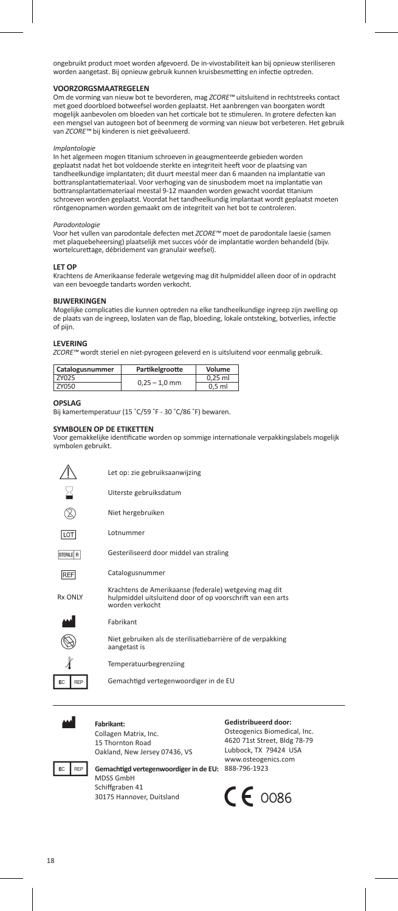ongebruikt product moet worden afgevoerd. De in-vivostabiliteit kan bij opnieuw steriliseren worden aangetast. Bij opnieuw gebruik kunnen kruisbesmetting en infectie optreden.

# **VOORZORGSMAATREGELEN**

Om de vorming van nieuw bot te bevorderen, mag *ZCORE™* uitsluitend in rechtstreeks contact met goed doorbloed botweefsel worden geplaatst. Het aanbrengen van boorgaten wordt mogelijk aanbevolen om bloeden van het corticale bot te stimuleren. In grotere defecten kan een mengsel van autogeen bot of beenmerg de vorming van nieuw bot verbeteren. Het gebruik van *ZCORE™* bij kinderen is niet geëvalueerd.

### *Implantologie*

In het algemeen mogen titanium schroeven in geaugmenteerde gebieden worden geplaatst nadat het bot voldoende sterkte en integriteit heeft voor de plaatsing van tandheelkundige implantaten; dit duurt meestal meer dan 6 maanden na implantatie van bottransplantatiemateriaal. Voor verhoging van de sinusbodem moet na implantatie van bottransplantatiemateriaal meestal 9-12 maanden worden gewacht voordat titanium schroeven worden geplaatst. Voordat het tandheelkundig implantaat wordt geplaatst moeten röntgenopnamen worden gemaakt om de integriteit van het bot te controleren.

### *Parodontologie*

Voor het vullen van parodontale defecten met *ZCORE™* moet de parodontale laesie (samen met plaquebeheersing) plaatselijk met succes vóór de implantatie worden behandeld (bijv. wortelcurettage, débridement van granulair weefsel).

### **LET OP**

Krachtens de Amerikaanse federale wetgeving mag dit hulpmiddel alleen door of in opdracht van een bevoegde tandarts worden verkocht.

### **BIJWERKINGEN**

Mogelijke complicaties die kunnen optreden na elke tandheelkundige ingreep zijn zwelling op de plaats van de ingreep, loslaten van de flap, bloeding, lokale ontsteking, botverlies, infectie of pijn.

#### **LEVERING**

*ZCORE™* wordt steriel en niet-pyrogeen geleverd en is uitsluitend voor eenmalig gebruik.

| Catalogusnummer | Partikelgrootte | Volume    |
|-----------------|-----------------|-----------|
| <b>7Y025</b>    | $0.25 - 1.0$ mm | $0.25$ ml |
| <b>7Y050</b>    |                 | $0.5$ ml  |

#### **OPSLAG**

Bij kamertemperatuur (15 °C/59 °F - 30 °C/86 °F) beware

### **SYMBOLEN OP DE ETIKETTEN**

Voor gemakkelijke identificatie worden op sommige internationale verpakkingslabels mogelijk symbolen gebruikt.

|                | Let op: zie gebruiksaanwijzing                                                                                                         |
|----------------|----------------------------------------------------------------------------------------------------------------------------------------|
|                | Uiterste gebruiksdatum                                                                                                                 |
|                | Niet hergebruiken                                                                                                                      |
| LOT            | Lotnummer                                                                                                                              |
| STERILE R      | Gesteriliseerd door middel van straling                                                                                                |
| <b>REF</b>     | Catalogusnummer                                                                                                                        |
| <b>Rx ONIY</b> | Krachtens de Amerikaanse (federale) wetgeving mag dit<br>hulpmiddel uitsluitend door of op voorschrift van een arts<br>worden verkocht |
|                | Fabrikant                                                                                                                              |
|                | Niet gebruiken als de sterilisatiebarrière of de verpakking<br>aangetast is                                                            |
|                | Temperatuurbegrenziing                                                                                                                 |
| EC<br>RFP      | Gemachtigd vertegenwoordiger in de EU                                                                                                  |



#### Fahrikant<sup>.</sup>

MDSS GmbH Schiffgraben 41 30175 Hannover, Duitsland

Collagen Matrix, Inc. 15 Thornton Road Oakland, New Jersey 07436, VS

### **Gedistribueerd door:**

**EC** REP **Gemachtigd vertegenwoordiger in de EU:** 888-796-1923 Osteogenics Biomedical, Inc. 4620 71st Street, Bldg 78-79 Lubbock, TX 79424 USA www.osteogenics.com